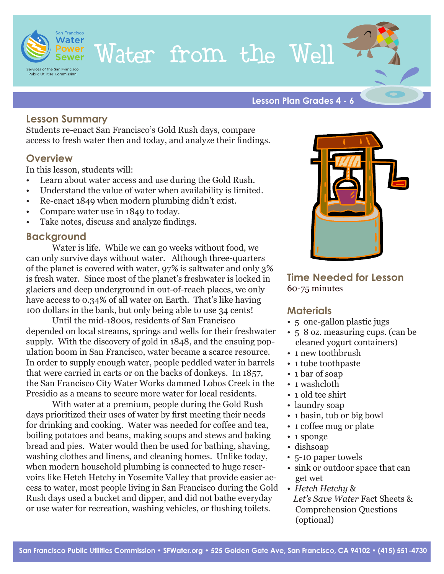

# Water from the Well

**Lesson Plan Grades 4 - 6**

#### **Lesson Summary**

Students re-enact San Francisco's Gold Rush days, compare access to fresh water then and today, and analyze their findings.

#### **Overview**

In this lesson, students will:

- Learn about water access and use during the Gold Rush.
- Understand the value of water when availability is limited.
- Re-enact 1849 when modern plumbing didn't exist.
- Compare water use in 1849 to today.
- Take notes, discuss and analyze findings.

### **Background**

Water is life. While we can go weeks without food, we can only survive days without water. Although three-quarters of the planet is covered with water, 97% is saltwater and only 3% is fresh water. Since most of the planet's freshwater is locked in glaciers and deep underground in out-of-reach places, we only have access to 0.34% of all water on Earth. That's like having 100 dollars in the bank, but only being able to use 34 cents!

Until the mid-1800s, residents of San Francisco depended on local streams, springs and wells for their freshwater supply. With the discovery of gold in 1848, and the ensuing population boom in San Francisco, water became a scarce resource. In order to supply enough water, people peddled water in barrels that were carried in carts or on the backs of donkeys. In 1857, the San Francisco City Water Works dammed Lobos Creek in the Presidio as a means to secure more water for local residents.

With water at a premium, people during the Gold Rush days prioritized their uses of water by first meeting their needs for drinking and cooking. Water was needed for coffee and tea, boiling potatoes and beans, making soups and stews and baking bread and pies. Water would then be used for bathing, shaving, washing clothes and linens, and cleaning homes. Unlike today, when modern household plumbing is connected to huge reservoirs like Hetch Hetchy in Yosemite Valley that provide easier access to water, most people living in San Francisco during the Gold Rush days used a bucket and dipper, and did not bathe everyday or use water for recreation, washing vehicles, or flushing toilets.



**Time Needed for Lesson** 60-75 minutes

#### **Materials**

- 5 one-gallon plastic jugs
- 5 8 oz. measuring cups. (can be cleaned yogurt containers)
- 1 new toothbrush
- 1 tube toothpaste
- 1 bar of soap
- 1 washcloth
- 1 old tee shirt
- laundry soap
- 1 basin, tub or big bowl
- 1 coffee mug or plate
- 1 sponge
- dishsoap
- 5-10 paper towels
- sink or outdoor space that can get wet
- *Hetch Hetchy* & *Let's Save Water* Fact Sheets & Comprehension Questions (optional)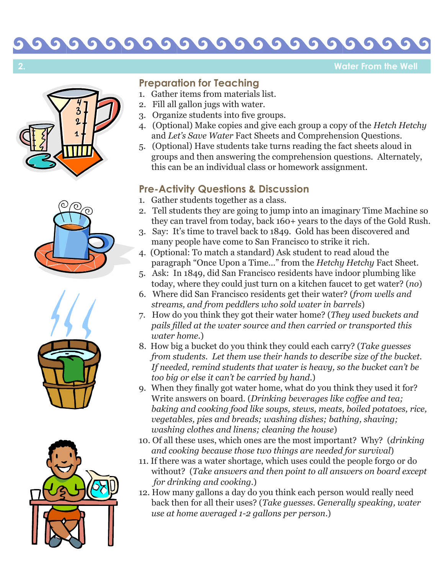#### 000  $\bullet$  $\bullet$ G  $\bullet$  $\bullet$

**Water From the Well**









# **Preparation for Teaching**

- 1. Gather items from materials list.
- 2. Fill all gallon jugs with water.
- 3. Organize students into five groups.
- 4. (Optional) Make copies and give each group a copy of the *Hetch Hetchy* and *Let's Save Water* Fact Sheets and Comprehension Questions.
- 5. (Optional) Have students take turns reading the fact sheets aloud in groups and then answering the comprehension questions. Alternately, this can be an individual class or homework assignment.

### **Pre-Activity Questions & Discussion**

- 1. Gather students together as a class.
- 2. Tell students they are going to jump into an imaginary Time Machine so they can travel from today, back 160+ years to the days of the Gold Rush.
- 3. Say: It's time to travel back to 1849. Gold has been discovered and many people have come to San Francisco to strike it rich.
- 4. (Optional: To match a standard) Ask student to read aloud the paragraph "Once Upon a Time…" from the *Hetchy Hetchy* Fact Sheet.
- 5. Ask: In 1849, did San Francisco residents have indoor plumbing like today, where they could just turn on a kitchen faucet to get water? (*no* )
- 6. Where did San Francisco residents get their water? (*from wells and streams, and from peddlers who sold water in barrels* )
- 7. How do you think they got their water home? (*They used buckets and pails filled at the water source and then carried or transported this water home*.)
- 8. How big a bucket do you think they could each carry? (*Take guesses from students. Let them use their hands to describe size of the bucket. If needed, remind students that water is heavy, so the bucket can't be too big or else it can't be carried by hand*.)
- 9. When they finally got water home, what do you think they used it for? Write answers on board. (*Drinking beverages like coffee and tea; baking and cooking food like soups, stews, meats, boiled potatoes, rice, vegetables, pies and breads; washing dishes; bathing, shaving; washing clothes and linens; cleaning the house*)
- 10. Of all these uses, which ones are the most important? Why? (*drinking and cooking because those two things are needed for survival* )
- 11. If there was a water shortage, which uses could the people forgo or do without? (*Take answers and then point to all answers on board except for drinking and cooking.*)
- 12. How many gallons a day do you think each person would really need back then for all their uses? (*Take guesses. Generally speaking, water use at home averaged 1-2 gallons per person*.)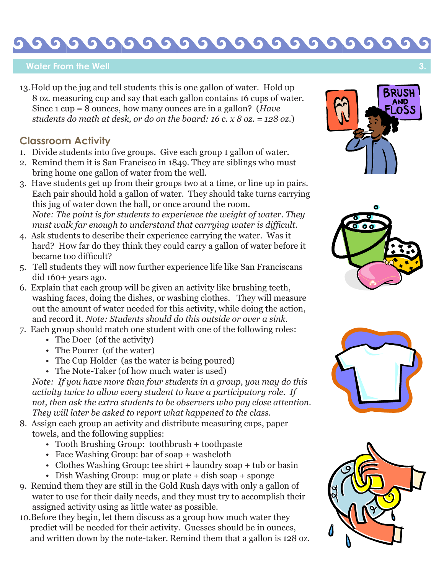#### G  $66$ G 5  $\bullet$  $\bullet$  $\sqrt{2}$  $\bullet$ G

#### **Water From the Well**

13. Hold up the jug and tell students this is one gallon of water. Hold up 8 oz. measuring cup and say that each gallon contains 16 cups of water. Since 1 cup = 8 ounces, how many ounces are in a gallon? (*Have students do math at desk, or do on the board: 16 c. x 8 oz. = 128 oz.*)

### **Classroom Activity**

- 1. Divide students into five groups. Give each group 1 gallon of water.
- 2. Remind them it is San Francisco in 1849. They are siblings who must bring home one gallon of water from the well.
- 3. Have students get up from their groups two at a time, or line up in pairs. Each pair should hold a gallon of water. They should take turns carrying this jug of water down the hall, or once around the room. *Note: The point is for students to experience the weight of water. They must walk far enough to understand that carrying water is difficult.*
- 4. Ask students to describe their experience carrying the water. Was it hard? How far do they think they could carry a gallon of water before it became too difficult?
- 5. Tell students they will now further experience life like San Franciscans did 160+ years ago.
- 6. Explain that each group will be given an activity like brushing teeth, washing faces, doing the dishes, or washing clothes. They will measure out the amount of water needed for this activity, while doing the action, and record it. *Note: Students should do this outside or over a sink.*
- 7. Each group should match one student with one of the following roles:
	- The Doer (of the activity)
	- The Pourer (of the water)
	- The Cup Holder (as the water is being poured)
	- The Note-Taker (of how much water is used)

 *Note: If you have more than four students in a group, you may do this activity twice to allow every student to have a participatory role. If not, then ask the extra students to be observers who pay close attention. They will later be asked to report what happened to the class.*

- 8. Assign each group an activity and distribute measuring cups, paper towels, and the following supplies:
	- Tooth Brushing Group: toothbrush + toothpaste
	- Face Washing Group: bar of soap + washcloth
	- Clothes Washing Group: tee shirt + laundry soap + tub or basin
	- Dish Washing Group: mug or plate + dish soap + sponge
- 9. Remind them they are still in the Gold Rush days with only a gallon of water to use for their daily needs, and they must try to accomplish their assigned activity using as little water as possible.
- 10.Before they begin, let them discuss as a group how much water they predict will be needed for their activity. Guesses should be in ounces, and written down by the note-taker. Remind them that a gallon is 128 oz.







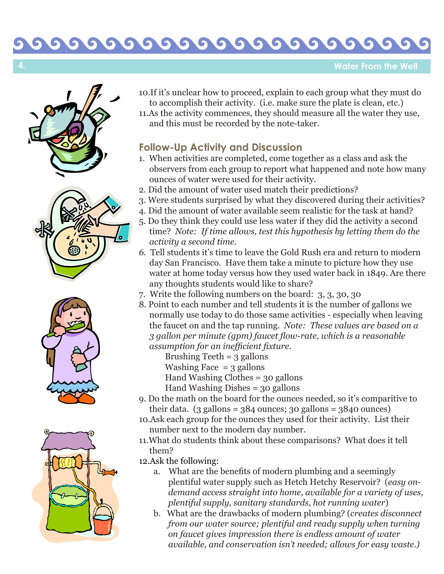#### 0000 000  $\bullet$

**Water From the Well**







- 10.If it's unclear how to proceed, explain to each group what they must do to accomplish their activity. (i.e. make sure the plate is clean, etc.)
- 11.As the activity commences, they should measure all the water they use, and this must be recorded by the note-taker.

## **Follow-Up Activity and Discussion**

- 1. When activities are completed, come together as a class and ask the observers from each group to report what happened and note how many ounces of water were used for their activity.
- 2. Did the amount of water used match their predictions?
- 3. Were students surprised by what they discovered during their activities?
- 4. Did the amount of water available seem realistic for the task at hand?
- 5. Do they think they could use less water if they did the activity a second time? *Note: If time allows, test this hypothesis by letting them do the activity a second time.*
- *6.* Tell students it's time to leave the Gold Rush era and return to modern day San Francisco. Have them take a minute to picture how they use water at home today versus how they used water back in 1849. Are there any thoughts students would like to share?
- 7. Write the following numbers on the board: 3, 3, 30, 30
- 8. Point to each number and tell students it is the number of gallons we normally use today to do those same activities - especially when leaving the faucet on and the tap running. *Note: These values are based on a 3 gallon per minute (gpm) faucet flow-rate, which is a reasonable assumption for an inefficient fixture.*

Brushing Teeth  $=$  3 gallons

Washing Face  $=$  3 gallons

Hand Washing Clothes = 30 gallons

Hand Washing Dishes = 30 gallons

- 9. Do the math on the board for the ounces needed, so it's comparitive to their data.  $(3 \text{ gallons} = 384 \text{ ounces}; 30 \text{ gallons} = 3840 \text{ ounces})$
- 10.Ask each group for the ounces they used for their activity. List their number next to the modern day number.
- 11.What do students think about these comparisons? What does it tell them?
- 12.Ask the following:
- a. What are the benefits of modern plumbing and a seemingly plentiful water supply such as Hetch Hetchy Reservoir? (*easy on demand access straight into home, available for a variety of uses, plentiful supply, sanitary standards, hot running water* )
	- b. What are the drawbacks of modern plumbing? (*creates disconnect from our water source; plentiful and ready supply when turning on faucet gives impression there is endless amount of water available, and conservation isn't needed; allows for easy waste.)*